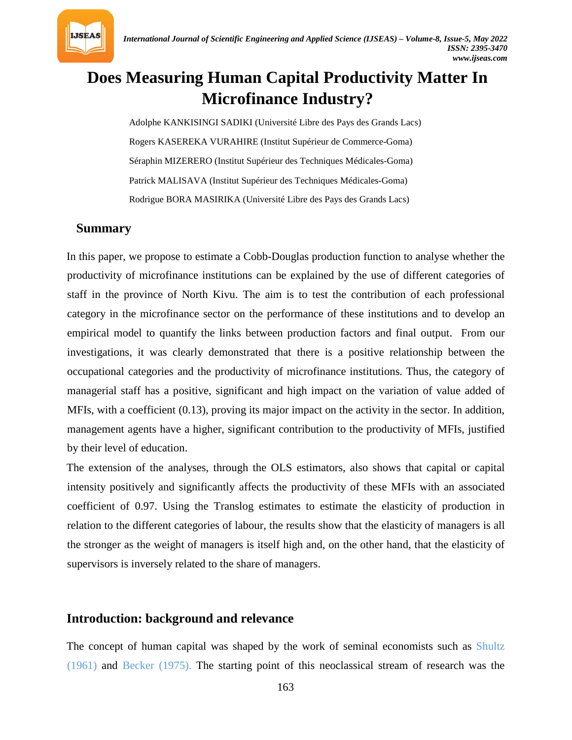

# **Does Measuring Human Capital Productivity Matter In Microfinance Industry?**

Adolphe KANKISINGI SADIKI (Université Libre des Pays des Grands Lacs) Rogers KASEREKA VURAHIRE (Institut Supérieur de Commerce-Goma) Séraphin MIZERERO (Institut Supérieur des Techniques Médicales-Goma) Patrick MALISAVA (Institut Supérieur des Techniques Médicales-Goma) Rodrigue BORA MASIRIKA (Université Libre des Pays des Grands Lacs)

### **Summary**

In this paper, we propose to estimate a Cobb-Douglas production function to analyse whether the productivity of microfinance institutions can be explained by the use of different categories of staff in the province of North Kivu. The aim is to test the contribution of each professional category in the microfinance sector on the performance of these institutions and to develop an empirical model to quantify the links between production factors and final output. From our investigations, it was clearly demonstrated that there is a positive relationship between the occupational categories and the productivity of microfinance institutions. Thus, the category of managerial staff has a positive, significant and high impact on the variation of value added of MFIs, with a coefficient (0.13), proving its major impact on the activity in the sector. In addition, management agents have a higher, significant contribution to the productivity of MFIs, justified by their level of education.

The extension of the analyses, through the OLS estimators, also shows that capital or capital intensity positively and significantly affects the productivity of these MFIs with an associated coefficient of 0.97. Using the Translog estimates to estimate the elasticity of production in relation to the different categories of labour, the results show that the elasticity of managers is all the stronger as the weight of managers is itself high and, on the other hand, that the elasticity of supervisors is inversely related to the share of managers.

### **Introduction: background and relevance**

The concept of human capital was shaped by the work of seminal economists such as Shultz (1961) and Becker (1975). The starting point of this neoclassical stream of research was the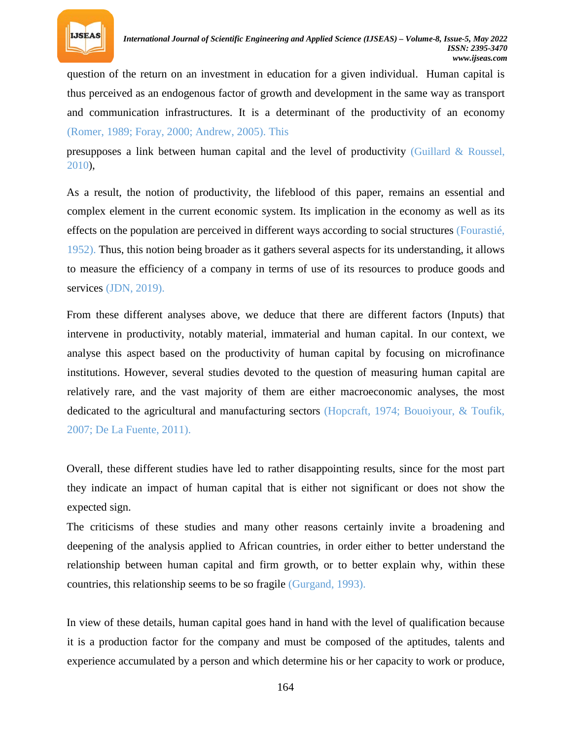

question of the return on an investment in education for a given individual. Human capital is thus perceived as an endogenous factor of growth and development in the same way as transport and communication infrastructures. It is a determinant of the productivity of an economy (Romer, 1989; Foray, 2000; Andrew, 2005). This

presupposes a link between human capital and the level of productivity (Guillard & Roussel, 2010),

As a result, the notion of productivity, the lifeblood of this paper, remains an essential and complex element in the current economic system. Its implication in the economy as well as its effects on the population are perceived in different ways according to social structures (Fourastié, 1952). Thus, this notion being broader as it gathers several aspects for its understanding, it allows to measure the efficiency of a company in terms of use of its resources to produce goods and services (JDN, 2019).

From these different analyses above, we deduce that there are different factors (Inputs) that intervene in productivity, notably material, immaterial and human capital. In our context, we analyse this aspect based on the productivity of human capital by focusing on microfinance institutions. However, several studies devoted to the question of measuring human capital are relatively rare, and the vast majority of them are either macroeconomic analyses, the most dedicated to the agricultural and manufacturing sectors (Hopcraft, 1974; Bouoiyour, & Toufik, 2007; De La Fuente, 2011).

Overall, these different studies have led to rather disappointing results, since for the most part they indicate an impact of human capital that is either not significant or does not show the expected sign.

The criticisms of these studies and many other reasons certainly invite a broadening and deepening of the analysis applied to African countries, in order either to better understand the relationship between human capital and firm growth, or to better explain why, within these countries, this relationship seems to be so fragile (Gurgand, 1993).

In view of these details, human capital goes hand in hand with the level of qualification because it is a production factor for the company and must be composed of the aptitudes, talents and experience accumulated by a person and which determine his or her capacity to work or produce,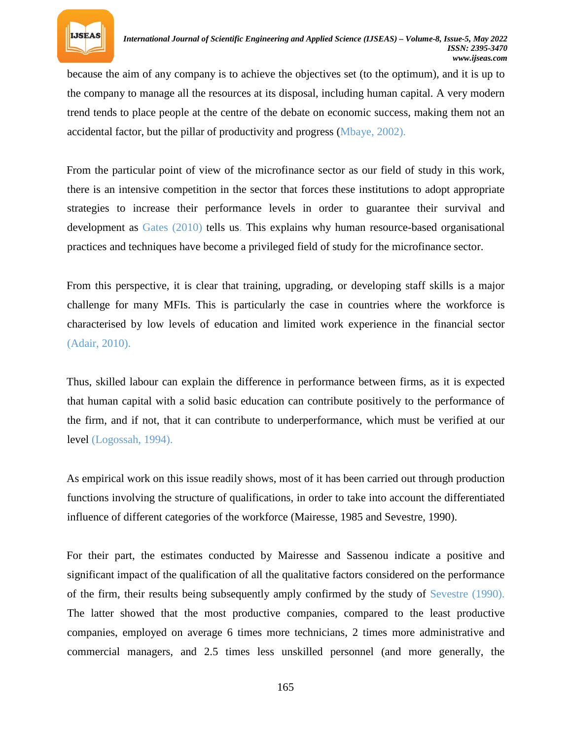

because the aim of any company is to achieve the objectives set (to the optimum), and it is up to the company to manage all the resources at its disposal, including human capital. A very modern trend tends to place people at the centre of the debate on economic success, making them not an accidental factor, but the pillar of productivity and progress (Mbaye, 2002).

From the particular point of view of the microfinance sector as our field of study in this work, there is an intensive competition in the sector that forces these institutions to adopt appropriate strategies to increase their performance levels in order to guarantee their survival and development as Gates (2010) tells us. This explains why human resource-based organisational practices and techniques have become a privileged field of study for the microfinance sector.

From this perspective, it is clear that training, upgrading, or developing staff skills is a major challenge for many MFIs. This is particularly the case in countries where the workforce is characterised by low levels of education and limited work experience in the financial sector (Adair, 2010).

Thus, skilled labour can explain the difference in performance between firms, as it is expected that human capital with a solid basic education can contribute positively to the performance of the firm, and if not, that it can contribute to underperformance, which must be verified at our level (Logossah, 1994).

As empirical work on this issue readily shows, most of it has been carried out through production functions involving the structure of qualifications, in order to take into account the differentiated influence of different categories of the workforce (Mairesse, 1985 and Sevestre, 1990).

For their part, the estimates conducted by Mairesse and Sassenou indicate a positive and significant impact of the qualification of all the qualitative factors considered on the performance of the firm, their results being subsequently amply confirmed by the study of Sevestre (1990). The latter showed that the most productive companies, compared to the least productive companies, employed on average 6 times more technicians, 2 times more administrative and commercial managers, and 2.5 times less unskilled personnel (and more generally, the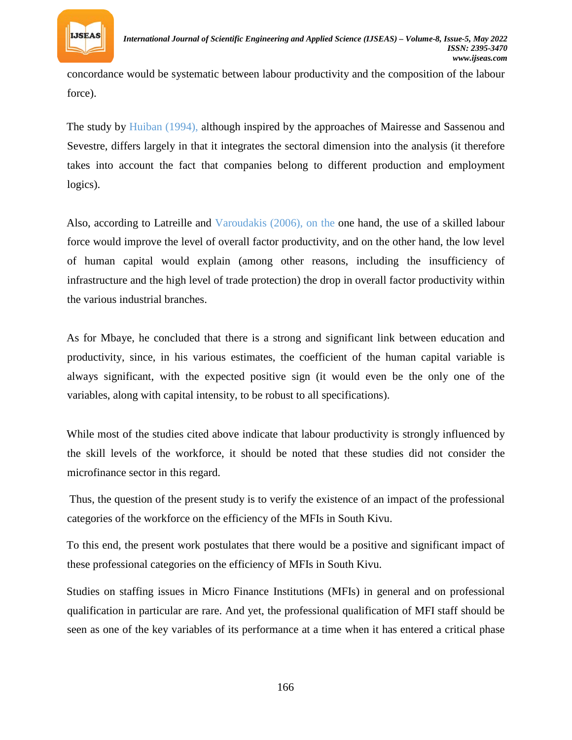

concordance would be systematic between labour productivity and the composition of the labour force).

The study by Huiban (1994), although inspired by the approaches of Mairesse and Sassenou and Sevestre, differs largely in that it integrates the sectoral dimension into the analysis (it therefore takes into account the fact that companies belong to different production and employment logics).

Also, according to Latreille and Varoudakis (2006), on the one hand, the use of a skilled labour force would improve the level of overall factor productivity, and on the other hand, the low level of human capital would explain (among other reasons, including the insufficiency of infrastructure and the high level of trade protection) the drop in overall factor productivity within the various industrial branches.

As for Mbaye, he concluded that there is a strong and significant link between education and productivity, since, in his various estimates, the coefficient of the human capital variable is always significant, with the expected positive sign (it would even be the only one of the variables, along with capital intensity, to be robust to all specifications).

While most of the studies cited above indicate that labour productivity is strongly influenced by the skill levels of the workforce, it should be noted that these studies did not consider the microfinance sector in this regard.

Thus, the question of the present study is to verify the existence of an impact of the professional categories of the workforce on the efficiency of the MFIs in South Kivu.

To this end, the present work postulates that there would be a positive and significant impact of these professional categories on the efficiency of MFIs in South Kivu.

Studies on staffing issues in Micro Finance Institutions (MFIs) in general and on professional qualification in particular are rare. And yet, the professional qualification of MFI staff should be seen as one of the key variables of its performance at a time when it has entered a critical phase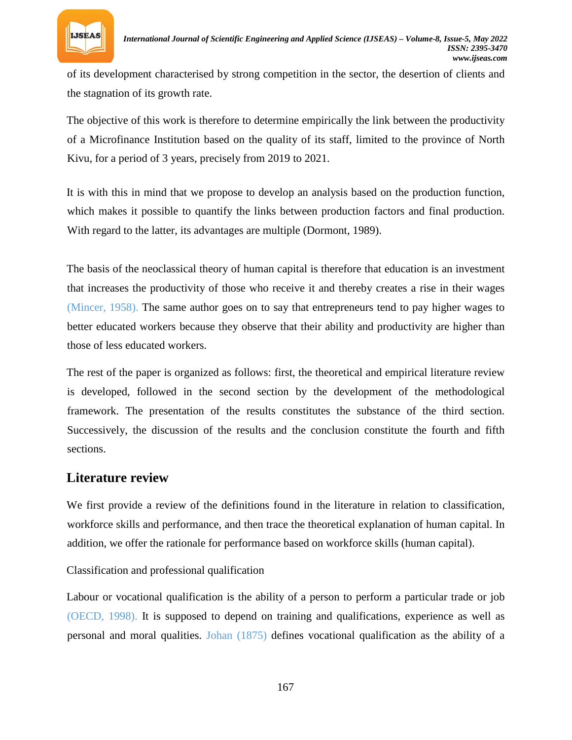

of its development characterised by strong competition in the sector, the desertion of clients and the stagnation of its growth rate.

The objective of this work is therefore to determine empirically the link between the productivity of a Microfinance Institution based on the quality of its staff, limited to the province of North Kivu, for a period of 3 years, precisely from 2019 to 2021.

It is with this in mind that we propose to develop an analysis based on the production function, which makes it possible to quantify the links between production factors and final production. With regard to the latter, its advantages are multiple (Dormont, 1989).

The basis of the neoclassical theory of human capital is therefore that education is an investment that increases the productivity of those who receive it and thereby creates a rise in their wages (Mincer, 1958). The same author goes on to say that entrepreneurs tend to pay higher wages to better educated workers because they observe that their ability and productivity are higher than those of less educated workers.

The rest of the paper is organized as follows: first, the theoretical and empirical literature review is developed, followed in the second section by the development of the methodological framework. The presentation of the results constitutes the substance of the third section. Successively, the discussion of the results and the conclusion constitute the fourth and fifth sections.

### **Literature review**

We first provide a review of the definitions found in the literature in relation to classification, workforce skills and performance, and then trace the theoretical explanation of human capital. In addition, we offer the rationale for performance based on workforce skills (human capital).

Classification and professional qualification

Labour or vocational qualification is the ability of a person to perform a particular trade or job (OECD, 1998). It is supposed to depend on training and qualifications, experience as well as personal and moral qualities. Johan (1875) defines vocational qualification as the ability of a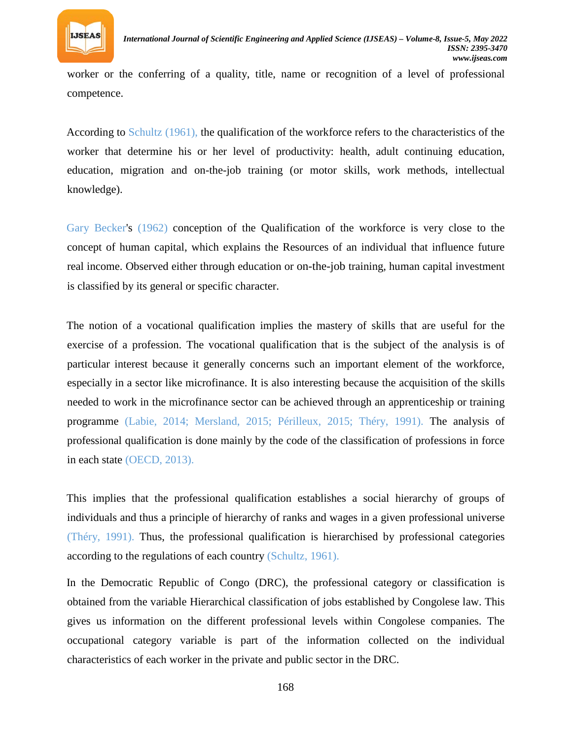

worker or the conferring of a quality, title, name or recognition of a level of professional competence.

According to Schultz (1961), the qualification of the workforce refers to the characteristics of the worker that determine his or her level of productivity: health, adult continuing education, education, migration and on-the-job training (or motor skills, work methods, intellectual knowledge).

Gary Becker's (1962) conception of the Qualification of the workforce is very close to the concept of human capital, which explains the Resources of an individual that influence future real income. Observed either through education or on-the-job training, human capital investment is classified by its general or specific character.

The notion of a vocational qualification implies the mastery of skills that are useful for the exercise of a profession. The vocational qualification that is the subject of the analysis is of particular interest because it generally concerns such an important element of the workforce, especially in a sector like microfinance. It is also interesting because the acquisition of the skills needed to work in the microfinance sector can be achieved through an apprenticeship or training programme (Labie, 2014; Mersland, 2015; Périlleux, 2015; Théry, 1991). The analysis of professional qualification is done mainly by the code of the classification of professions in force in each state (OECD, 2013).

This implies that the professional qualification establishes a social hierarchy of groups of individuals and thus a principle of hierarchy of ranks and wages in a given professional universe (Théry, 1991). Thus, the professional qualification is hierarchised by professional categories according to the regulations of each country (Schultz, 1961).

In the Democratic Republic of Congo (DRC), the professional category or classification is obtained from the variable Hierarchical classification of jobs established by Congolese law. This gives us information on the different professional levels within Congolese companies. The occupational category variable is part of the information collected on the individual characteristics of each worker in the private and public sector in the DRC.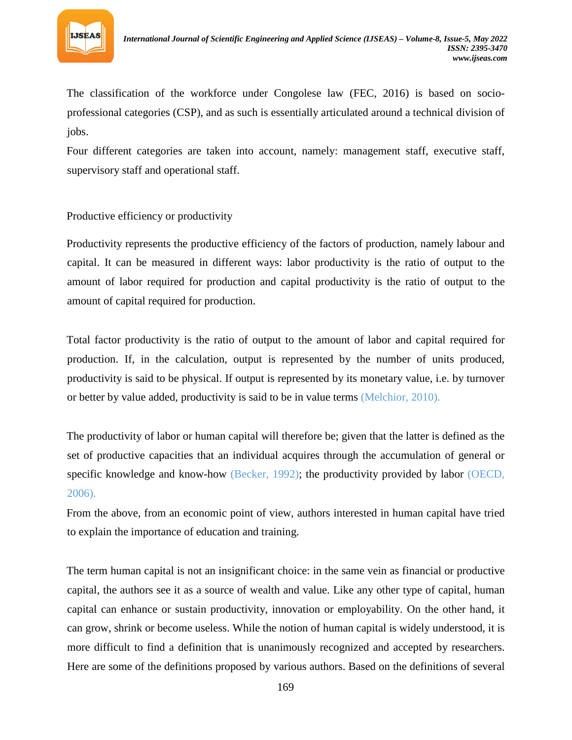

The classification of the workforce under Congolese law (FEC, 2016) is based on socioprofessional categories (CSP), and as such is essentially articulated around a technical division of jobs.

Four different categories are taken into account, namely: management staff, executive staff, supervisory staff and operational staff.

### Productive efficiency or productivity

Productivity represents the productive efficiency of the factors of production, namely labour and capital. It can be measured in different ways: labor productivity is the ratio of output to the amount of labor required for production and capital productivity is the ratio of output to the amount of capital required for production.

Total factor productivity is the ratio of output to the amount of labor and capital required for production. If, in the calculation, output is represented by the number of units produced, productivity is said to be physical. If output is represented by its monetary value, i.e. by turnover or better by value added, productivity is said to be in value terms (Melchior, 2010).

The productivity of labor or human capital will therefore be; given that the latter is defined as the set of productive capacities that an individual acquires through the accumulation of general or specific knowledge and know-how (Becker, 1992); the productivity provided by labor (OECD, 2006).

From the above, from an economic point of view, authors interested in human capital have tried to explain the importance of education and training.

The term human capital is not an insignificant choice: in the same vein as financial or productive capital, the authors see it as a source of wealth and value. Like any other type of capital, human capital can enhance or sustain productivity, innovation or employability. On the other hand, it can grow, shrink or become useless. While the notion of human capital is widely understood, it is more difficult to find a definition that is unanimously recognized and accepted by researchers. Here are some of the definitions proposed by various authors. Based on the definitions of several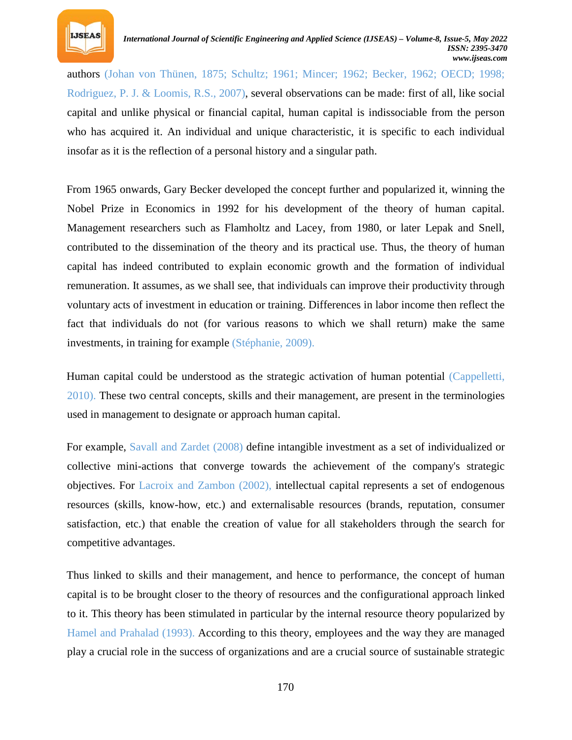

authors (Johan von Thünen, 1875; Schultz; 1961; Mincer; 1962; Becker, 1962; OECD; 1998; Rodriguez, P. J. & Loomis, R.S., 2007), several observations can be made: first of all, like social capital and unlike physical or financial capital, human capital is indissociable from the person who has acquired it. An individual and unique characteristic, it is specific to each individual insofar as it is the reflection of a personal history and a singular path.

From 1965 onwards, Gary Becker developed the concept further and popularized it, winning the Nobel Prize in Economics in 1992 for his development of the theory of human capital. Management researchers such as Flamholtz and Lacey, from 1980, or later Lepak and Snell, contributed to the dissemination of the theory and its practical use. Thus, the theory of human capital has indeed contributed to explain economic growth and the formation of individual remuneration. It assumes, as we shall see, that individuals can improve their productivity through voluntary acts of investment in education or training. Differences in labor income then reflect the fact that individuals do not (for various reasons to which we shall return) make the same investments, in training for example (Stéphanie, 2009).

Human capital could be understood as the strategic activation of human potential (Cappelletti, 2010). These two central concepts, skills and their management, are present in the terminologies used in management to designate or approach human capital.

For example, Savall and Zardet (2008) define intangible investment as a set of individualized or collective mini-actions that converge towards the achievement of the company's strategic objectives. For Lacroix and Zambon (2002), intellectual capital represents a set of endogenous resources (skills, know-how, etc.) and externalisable resources (brands, reputation, consumer satisfaction, etc.) that enable the creation of value for all stakeholders through the search for competitive advantages.

Thus linked to skills and their management, and hence to performance, the concept of human capital is to be brought closer to the theory of resources and the configurational approach linked to it. This theory has been stimulated in particular by the internal resource theory popularized by Hamel and Prahalad (1993). According to this theory, employees and the way they are managed play a crucial role in the success of organizations and are a crucial source of sustainable strategic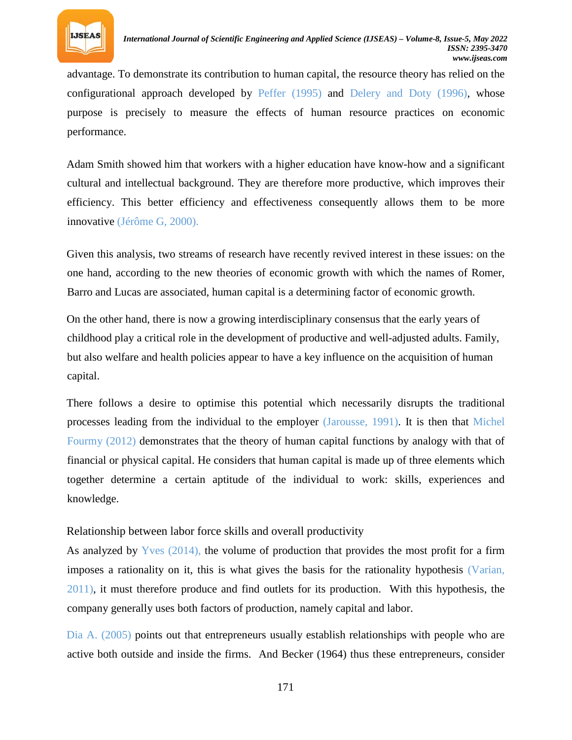

advantage. To demonstrate its contribution to human capital, the resource theory has relied on the configurational approach developed by Peffer (1995) and Delery and Doty (1996), whose purpose is precisely to measure the effects of human resource practices on economic performance.

Adam Smith showed him that workers with a higher education have know-how and a significant cultural and intellectual background. They are therefore more productive, which improves their efficiency. This better efficiency and effectiveness consequently allows them to be more innovative (Jérôme G, 2000).

Given this analysis, two streams of research have recently revived interest in these issues: on the one hand, according to the new theories of economic growth with which the names of Romer, Barro and Lucas are associated, human capital is a determining factor of economic growth.

On the other hand, there is now a growing interdisciplinary consensus that the early years of childhood play a critical role in the development of productive and well-adjusted adults. Family, but also welfare and health policies appear to have a key influence on the acquisition of human capital.

There follows a desire to optimise this potential which necessarily disrupts the traditional processes leading from the individual to the employer (Jarousse, 1991). It is then that Michel Fourmy (2012) demonstrates that the theory of human capital functions by analogy with that of financial or physical capital. He considers that human capital is made up of three elements which together determine a certain aptitude of the individual to work: skills, experiences and knowledge.

Relationship between labor force skills and overall productivity

As analyzed by Yves (2014), the volume of production that provides the most profit for a firm imposes a rationality on it, this is what gives the basis for the rationality hypothesis (Varian, 2011), it must therefore produce and find outlets for its production. With this hypothesis, the company generally uses both factors of production, namely capital and labor.

Dia A. (2005) points out that entrepreneurs usually establish relationships with people who are active both outside and inside the firms. And Becker (1964) thus these entrepreneurs, consider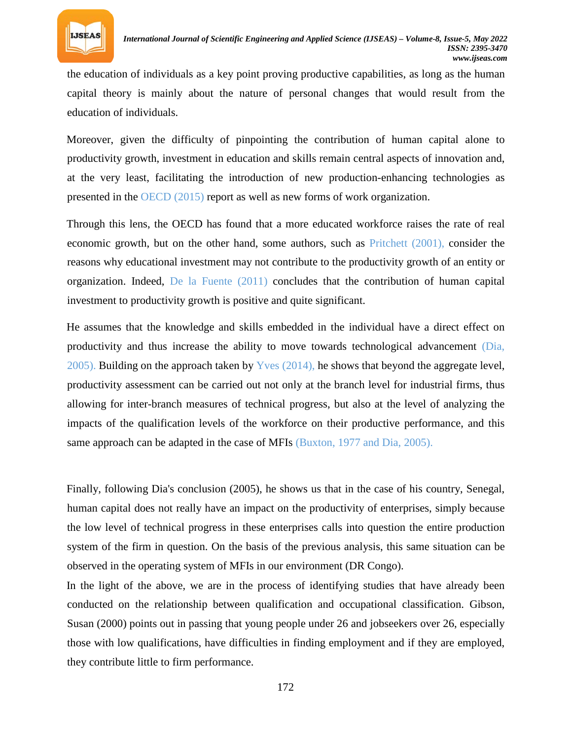

the education of individuals as a key point proving productive capabilities, as long as the human capital theory is mainly about the nature of personal changes that would result from the education of individuals.

Moreover, given the difficulty of pinpointing the contribution of human capital alone to productivity growth, investment in education and skills remain central aspects of innovation and, at the very least, facilitating the introduction of new production-enhancing technologies as presented in the OECD (2015) report as well as new forms of work organization.

Through this lens, the OECD has found that a more educated workforce raises the rate of real economic growth, but on the other hand, some authors, such as Pritchett (2001), consider the reasons why educational investment may not contribute to the productivity growth of an entity or organization. Indeed, De la Fuente (2011) concludes that the contribution of human capital investment to productivity growth is positive and quite significant.

He assumes that the knowledge and skills embedded in the individual have a direct effect on productivity and thus increase the ability to move towards technological advancement (Dia, 2005). Building on the approach taken by Yves (2014), he shows that beyond the aggregate level, productivity assessment can be carried out not only at the branch level for industrial firms, thus allowing for inter-branch measures of technical progress, but also at the level of analyzing the impacts of the qualification levels of the workforce on their productive performance, and this same approach can be adapted in the case of MFIs (Buxton, 1977 and Dia, 2005).

Finally, following Dia's conclusion (2005), he shows us that in the case of his country, Senegal, human capital does not really have an impact on the productivity of enterprises, simply because the low level of technical progress in these enterprises calls into question the entire production system of the firm in question. On the basis of the previous analysis, this same situation can be observed in the operating system of MFIs in our environment (DR Congo).

In the light of the above, we are in the process of identifying studies that have already been conducted on the relationship between qualification and occupational classification. Gibson, Susan (2000) points out in passing that young people under 26 and jobseekers over 26, especially those with low qualifications, have difficulties in finding employment and if they are employed, they contribute little to firm performance.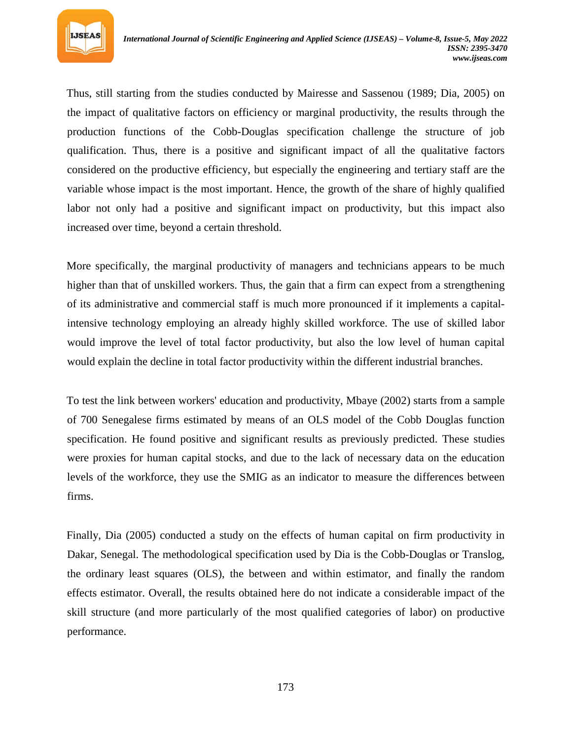

Thus, still starting from the studies conducted by Mairesse and Sassenou (1989; Dia, 2005) on the impact of qualitative factors on efficiency or marginal productivity, the results through the production functions of the Cobb-Douglas specification challenge the structure of job qualification. Thus, there is a positive and significant impact of all the qualitative factors considered on the productive efficiency, but especially the engineering and tertiary staff are the variable whose impact is the most important. Hence, the growth of the share of highly qualified labor not only had a positive and significant impact on productivity, but this impact also increased over time, beyond a certain threshold.

More specifically, the marginal productivity of managers and technicians appears to be much higher than that of unskilled workers. Thus, the gain that a firm can expect from a strengthening of its administrative and commercial staff is much more pronounced if it implements a capitalintensive technology employing an already highly skilled workforce. The use of skilled labor would improve the level of total factor productivity, but also the low level of human capital would explain the decline in total factor productivity within the different industrial branches.

To test the link between workers' education and productivity, Mbaye (2002) starts from a sample of 700 Senegalese firms estimated by means of an OLS model of the Cobb Douglas function specification. He found positive and significant results as previously predicted. These studies were proxies for human capital stocks, and due to the lack of necessary data on the education levels of the workforce, they use the SMIG as an indicator to measure the differences between firms.

Finally, Dia (2005) conducted a study on the effects of human capital on firm productivity in Dakar, Senegal. The methodological specification used by Dia is the Cobb-Douglas or Translog, the ordinary least squares (OLS), the between and within estimator, and finally the random effects estimator. Overall, the results obtained here do not indicate a considerable impact of the skill structure (and more particularly of the most qualified categories of labor) on productive performance.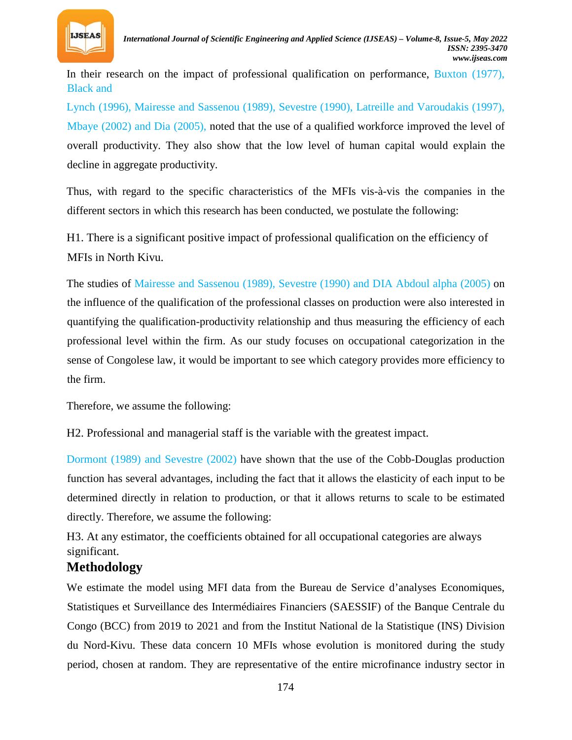

In their research on the impact of professional qualification on performance, Buxton (1977), Black and

Lynch (1996), Mairesse and Sassenou (1989), Sevestre (1990), Latreille and Varoudakis (1997), Mbaye (2002) and Dia (2005), noted that the use of a qualified workforce improved the level of overall productivity. They also show that the low level of human capital would explain the decline in aggregate productivity.

Thus, with regard to the specific characteristics of the MFIs vis-à-vis the companies in the different sectors in which this research has been conducted, we postulate the following:

H1. There is a significant positive impact of professional qualification on the efficiency of MFIs in North Kivu.

The studies of Mairesse and Sassenou (1989), Sevestre (1990) and DIA Abdoul alpha (2005) on the influence of the qualification of the professional classes on production were also interested in quantifying the qualification-productivity relationship and thus measuring the efficiency of each professional level within the firm. As our study focuses on occupational categorization in the sense of Congolese law, it would be important to see which category provides more efficiency to the firm.

Therefore, we assume the following:

H2. Professional and managerial staff is the variable with the greatest impact.

Dormont (1989) and Sevestre (2002) have shown that the use of the Cobb-Douglas production function has several advantages, including the fact that it allows the elasticity of each input to be determined directly in relation to production, or that it allows returns to scale to be estimated directly. Therefore, we assume the following:

H3. At any estimator, the coefficients obtained for all occupational categories are always significant.

## **Methodology**

We estimate the model using MFI data from the Bureau de Service d'analyses Economiques, Statistiques et Surveillance des Intermédiaires Financiers (SAESSIF) of the Banque Centrale du Congo (BCC) from 2019 to 2021 and from the Institut National de la Statistique (INS) Division du Nord-Kivu. These data concern 10 MFIs whose evolution is monitored during the study period, chosen at random. They are representative of the entire microfinance industry sector in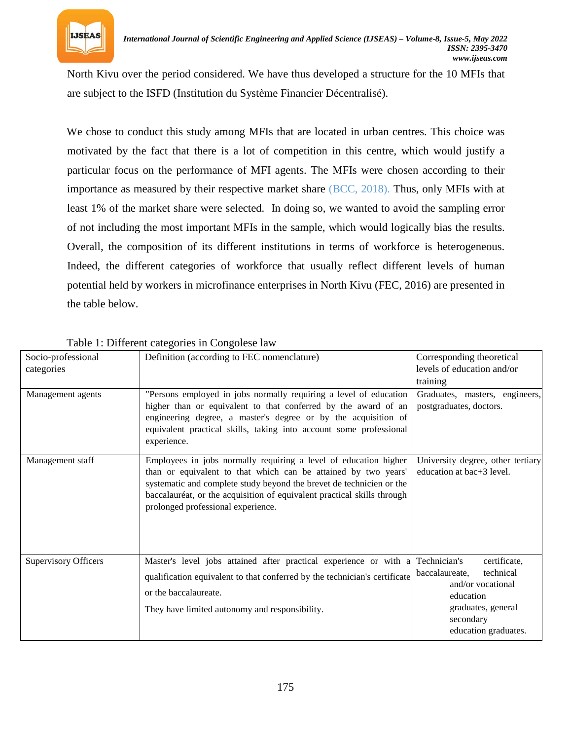

North Kivu over the period considered. We have thus developed a structure for the 10 MFIs that are subject to the ISFD (Institution du Système Financier Décentralisé).

We chose to conduct this study among MFIs that are located in urban centres. This choice was motivated by the fact that there is a lot of competition in this centre, which would justify a particular focus on the performance of MFI agents. The MFIs were chosen according to their importance as measured by their respective market share (BCC, 2018). Thus, only MFIs with at least 1% of the market share were selected. In doing so, we wanted to avoid the sampling error of not including the most important MFIs in the sample, which would logically bias the results. Overall, the composition of its different institutions in terms of workforce is heterogeneous. Indeed, the different categories of workforce that usually reflect different levels of human potential held by workers in microfinance enterprises in North Kivu (FEC, 2016) are presented in the table below.

| Socio-professional          | Definition (according to FEC nomenclature)                                                                                       | Corresponding theoretical         |
|-----------------------------|----------------------------------------------------------------------------------------------------------------------------------|-----------------------------------|
| categories                  |                                                                                                                                  | levels of education and/or        |
|                             |                                                                                                                                  | training                          |
| Management agents           | "Persons employed in jobs normally requiring a level of education                                                                | Graduates, masters, engineers,    |
|                             | higher than or equivalent to that conferred by the award of an<br>engineering degree, a master's degree or by the acquisition of | postgraduates, doctors.           |
|                             | equivalent practical skills, taking into account some professional                                                               |                                   |
|                             | experience.                                                                                                                      |                                   |
| Management staff            | Employees in jobs normally requiring a level of education higher                                                                 | University degree, other tertiary |
|                             | than or equivalent to that which can be attained by two years'                                                                   | education at bac+3 level.         |
|                             | systematic and complete study beyond the brevet de technicien or the                                                             |                                   |
|                             | baccalauréat, or the acquisition of equivalent practical skills through<br>prolonged professional experience.                    |                                   |
|                             |                                                                                                                                  |                                   |
|                             |                                                                                                                                  |                                   |
|                             |                                                                                                                                  |                                   |
| <b>Supervisory Officers</b> | Master's level jobs attained after practical experience or with a                                                                | Technician's<br>certificate,      |
|                             | qualification equivalent to that conferred by the technician's certificate                                                       | baccalaureate.<br>technical       |
|                             | or the baccalaureate.                                                                                                            | and/or vocational                 |
|                             |                                                                                                                                  | education                         |
|                             | They have limited autonomy and responsibility.                                                                                   | graduates, general<br>secondary   |
|                             |                                                                                                                                  | education graduates.              |

Table 1: Different categories in Congolese law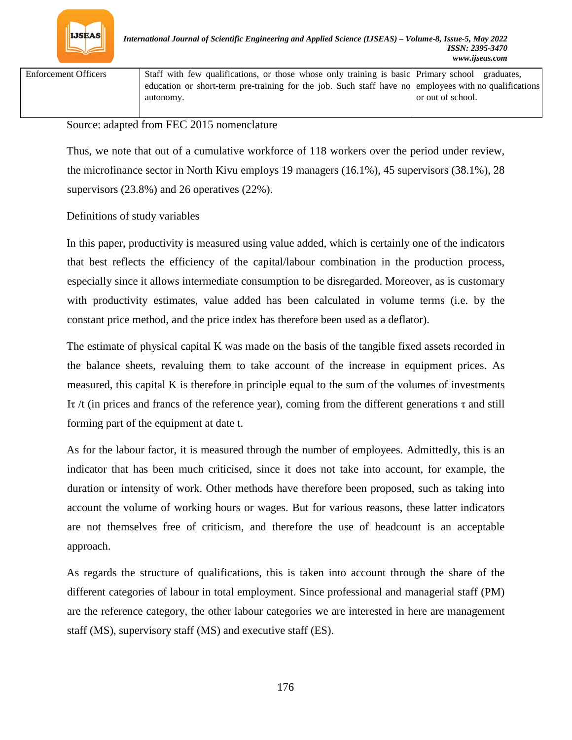

Enforcement Officers Staff with few qualifications, or those whose only training is basic education or short-term pre-training for the job. Such staff have no autonomy. Primary school graduates, employees with no qualifications or out of school.

Source: adapted from FEC 2015 nomenclature

Thus, we note that out of a cumulative workforce of 118 workers over the period under review, the microfinance sector in North Kivu employs 19 managers (16.1%), 45 supervisors (38.1%), 28 supervisors (23.8%) and 26 operatives (22%).

Definitions of study variables

In this paper, productivity is measured using value added, which is certainly one of the indicators that best reflects the efficiency of the capital/labour combination in the production process, especially since it allows intermediate consumption to be disregarded. Moreover, as is customary with productivity estimates, value added has been calculated in volume terms (i.e. by the constant price method, and the price index has therefore been used as a deflator).

The estimate of physical capital K was made on the basis of the tangible fixed assets recorded in the balance sheets, revaluing them to take account of the increase in equipment prices. As measured, this capital K is therefore in principle equal to the sum of the volumes of investments It /t (in prices and francs of the reference year), coming from the different generations  $\tau$  and still forming part of the equipment at date t.

As for the labour factor, it is measured through the number of employees. Admittedly, this is an indicator that has been much criticised, since it does not take into account, for example, the duration or intensity of work. Other methods have therefore been proposed, such as taking into account the volume of working hours or wages. But for various reasons, these latter indicators are not themselves free of criticism, and therefore the use of headcount is an acceptable approach.

As regards the structure of qualifications, this is taken into account through the share of the different categories of labour in total employment. Since professional and managerial staff (PM) are the reference category, the other labour categories we are interested in here are management staff (MS), supervisory staff (MS) and executive staff (ES).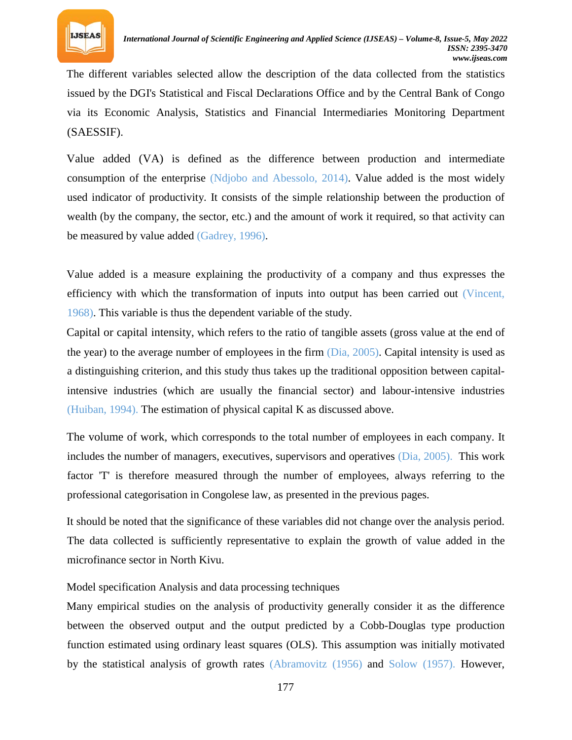

The different variables selected allow the description of the data collected from the statistics issued by the DGI's Statistical and Fiscal Declarations Office and by the Central Bank of Congo via its Economic Analysis, Statistics and Financial Intermediaries Monitoring Department (SAESSIF).

Value added (VA) is defined as the difference between production and intermediate consumption of the enterprise (Ndjobo and Abessolo, 2014). Value added is the most widely used indicator of productivity. It consists of the simple relationship between the production of wealth (by the company, the sector, etc.) and the amount of work it required, so that activity can be measured by value added (Gadrey, 1996).

Value added is a measure explaining the productivity of a company and thus expresses the efficiency with which the transformation of inputs into output has been carried out (Vincent, 1968). This variable is thus the dependent variable of the study.

Capital or capital intensity, which refers to the ratio of tangible assets (gross value at the end of the year) to the average number of employees in the firm (Dia, 2005). Capital intensity is used as a distinguishing criterion, and this study thus takes up the traditional opposition between capitalintensive industries (which are usually the financial sector) and labour-intensive industries (Huiban, 1994). The estimation of physical capital K as discussed above.

The volume of work, which corresponds to the total number of employees in each company. It includes the number of managers, executives, supervisors and operatives (Dia, 2005). This work factor 'T' is therefore measured through the number of employees, always referring to the professional categorisation in Congolese law, as presented in the previous pages.

It should be noted that the significance of these variables did not change over the analysis period. The data collected is sufficiently representative to explain the growth of value added in the microfinance sector in North Kivu.

### Model specification Analysis and data processing techniques

Many empirical studies on the analysis of productivity generally consider it as the difference between the observed output and the output predicted by a Cobb-Douglas type production function estimated using ordinary least squares (OLS). This assumption was initially motivated by the statistical analysis of growth rates (Abramovitz (1956) and Solow (1957). However,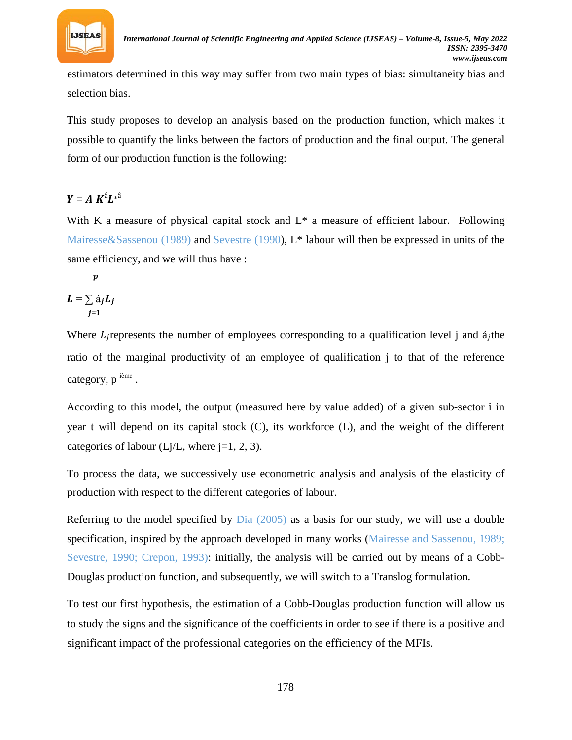

estimators determined in this way may suffer from two main types of bias: simultaneity bias and selection bias.

This study proposes to develop an analysis based on the production function, which makes it possible to quantify the links between the factors of production and the final output. The general form of our production function is the following:

## $Y = A K^{\hat{a}} L^{*^{\hat{a}}}$

With K a measure of physical capital stock and  $L^*$  a measure of efficient labour. Following Mairesse&Sassenou (1989) and Sevestre (1990), L\* labour will then be expressed in units of the same efficiency, and we will thus have :

 $\boldsymbol{p}$  $L = \sum \acute{a}_j L_j$  $j=1$ 

Where  $L_j$  represents the number of employees corresponding to a qualification level j and  $\acute{a}_j$ the ratio of the marginal productivity of an employee of qualification j to that of the reference category, p<sup>ième</sup>.

According to this model, the output (measured here by value added) of a given sub-sector i in year t will depend on its capital stock (C), its workforce (L), and the weight of the different categories of labour ( $Lj/L$ , where  $j=1, 2, 3$ ).

To process the data, we successively use econometric analysis and analysis of the elasticity of production with respect to the different categories of labour.

Referring to the model specified by  $Dia$  (2005) as a basis for our study, we will use a double specification, inspired by the approach developed in many works (Mairesse and Sassenou, 1989; Sevestre, 1990; Crepon, 1993): initially, the analysis will be carried out by means of a Cobb-Douglas production function, and subsequently, we will switch to a Translog formulation.

To test our first hypothesis, the estimation of a Cobb-Douglas production function will allow us to study the signs and the significance of the coefficients in order to see if there is a positive and significant impact of the professional categories on the efficiency of the MFIs.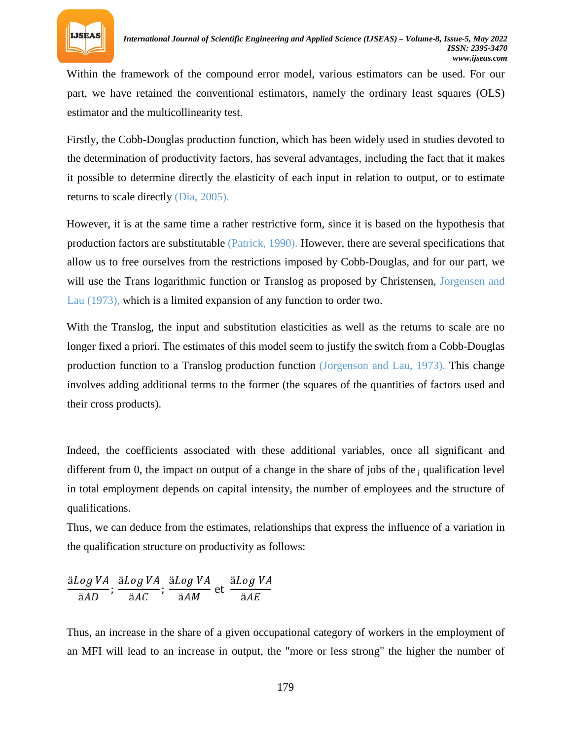

Within the framework of the compound error model, various estimators can be used. For our part, we have retained the conventional estimators, namely the ordinary least squares (OLS) estimator and the multicollinearity test.

Firstly, the Cobb-Douglas production function, which has been widely used in studies devoted to the determination of productivity factors, has several advantages, including the fact that it makes it possible to determine directly the elasticity of each input in relation to output, or to estimate returns to scale directly (Dia, 2005).

However, it is at the same time a rather restrictive form, since it is based on the hypothesis that production factors are substitutable (Patrick, 1990). However, there are several specifications that allow us to free ourselves from the restrictions imposed by Cobb-Douglas, and for our part, we will use the Trans logarithmic function or Translog as proposed by Christensen, Jorgensen and Lau (1973), which is a limited expansion of any function to order two.

With the Translog, the input and substitution elasticities as well as the returns to scale are no longer fixed a priori. The estimates of this model seem to justify the switch from a Cobb-Douglas production function to a Translog production function (Jorgenson and Lau, 1973). This change involves adding additional terms to the former (the squares of the quantities of factors used and their cross products).

Indeed, the coefficients associated with these additional variables, once all significant and different from 0, the impact on output of a change in the share of jobs of the *R* qualification level in total employment depends on capital intensity, the number of employees and the structure of qualifications.

Thus, we can deduce from the estimates, relationships that express the influence of a variation in the qualification structure on productivity as follows:

$$
\frac{\text{a}Log\,VA}{\text{a}AD};\,\frac{\text{a}Log\,VA}{\text{a}AC};\,\frac{\text{a}Log\,VA}{\text{a}AM}\,\text{et}\,\frac{\text{a}Log\,VA}{\text{a}AE}
$$

Thus, an increase in the share of a given occupational category of workers in the employment of an MFI will lead to an increase in output, the "more or less strong" the higher the number of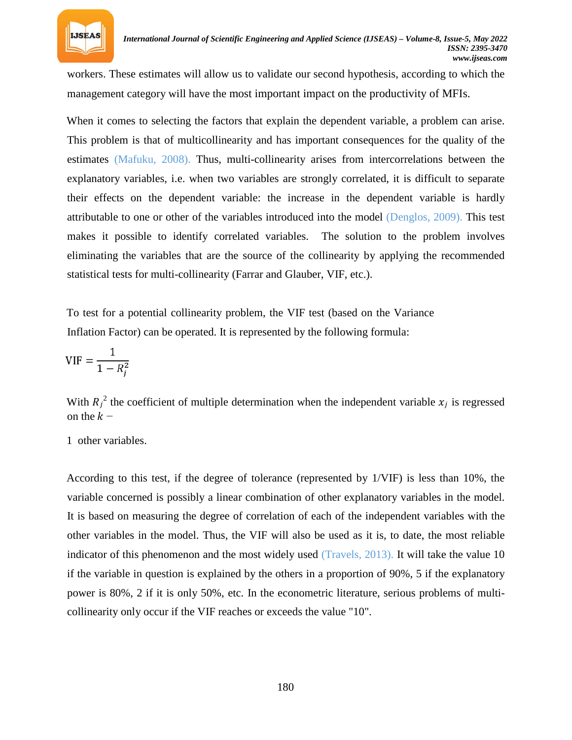

workers. These estimates will allow us to validate our second hypothesis, according to which the management category will have the most important impact on the productivity of MFIs.

When it comes to selecting the factors that explain the dependent variable, a problem can arise. This problem is that of multicollinearity and has important consequences for the quality of the estimates (Mafuku, 2008). Thus, multi-collinearity arises from intercorrelations between the explanatory variables, i.e. when two variables are strongly correlated, it is difficult to separate their effects on the dependent variable: the increase in the dependent variable is hardly attributable to one or other of the variables introduced into the model (Denglos, 2009). This test makes it possible to identify correlated variables. The solution to the problem involves eliminating the variables that are the source of the collinearity by applying the recommended statistical tests for multi-collinearity (Farrar and Glauber, VIF, etc.).

To test for a potential collinearity problem, the VIF test (based on the Variance Inflation Factor) can be operated. It is represented by the following formula:

$$
VIF = \frac{1}{1 - R_j^2}
$$

With  $R_j$ <sup>2</sup> the coefficient of multiple determination when the independent variable  $x_j$  is regressed on the  $k -$ 

1 other variables.

According to this test, if the degree of tolerance (represented by 1/VIF) is less than 10%, the variable concerned is possibly a linear combination of other explanatory variables in the model. It is based on measuring the degree of correlation of each of the independent variables with the other variables in the model. Thus, the VIF will also be used as it is, to date, the most reliable indicator of this phenomenon and the most widely used (Travels, 2013). It will take the value 10 if the variable in question is explained by the others in a proportion of 90%, 5 if the explanatory power is 80%, 2 if it is only 50%, etc. In the econometric literature, serious problems of multicollinearity only occur if the VIF reaches or exceeds the value "10".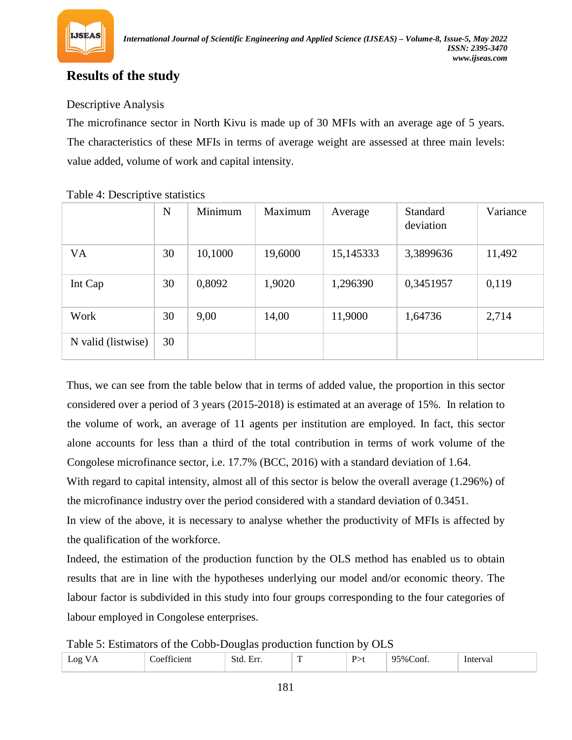

## **Results of the study**

### Descriptive Analysis

The microfinance sector in North Kivu is made up of 30 MFIs with an average age of 5 years. The characteristics of these MFIs in terms of average weight are assessed at three main levels: value added, volume of work and capital intensity.

|                    | N  | Minimum | Maximum | Average   | <b>Standard</b><br>deviation | Variance |
|--------------------|----|---------|---------|-----------|------------------------------|----------|
| <b>VA</b>          | 30 | 10,1000 | 19,6000 | 15,145333 | 3,3899636                    | 11,492   |
| Int Cap            | 30 | 0,8092  | 1,9020  | 1,296390  | 0,3451957                    | 0,119    |
| Work               | 30 | 9,00    | 14,00   | 11,9000   | 1,64736                      | 2,714    |
| N valid (listwise) | 30 |         |         |           |                              |          |

### Table 4: Descriptive statistics

Thus, we can see from the table below that in terms of added value, the proportion in this sector considered over a period of 3 years (2015-2018) is estimated at an average of 15%. In relation to the volume of work, an average of 11 agents per institution are employed. In fact, this sector alone accounts for less than a third of the total contribution in terms of work volume of the Congolese microfinance sector, i.e. 17.7% (BCC, 2016) with a standard deviation of 1.64.

With regard to capital intensity, almost all of this sector is below the overall average (1.296%) of the microfinance industry over the period considered with a standard deviation of 0.3451.

In view of the above, it is necessary to analyse whether the productivity of MFIs is affected by the qualification of the workforce.

Indeed, the estimation of the production function by the OLS method has enabled us to obtain results that are in line with the hypotheses underlying our model and/or economic theory. The labour factor is subdivided in this study into four groups corresponding to the four categories of labour employed in Congolese enterprises.

Table 5: Estimators of the Cobb-Douglas production function by OLS

| $\alpha$ | $\sim$ | $-112$<br>Stc | ∽<br>. .<br>$\sim$ | $\tau_{0/-}$<br>`oni | .<br>'va. |
|----------|--------|---------------|--------------------|----------------------|-----------|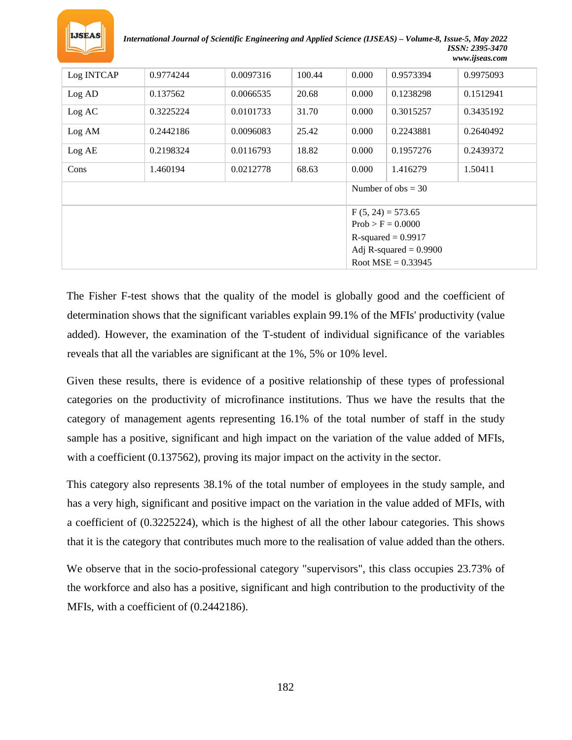

*International Journal of Scientific Engineering and Applied Science (IJSEAS) – Volume-8, Issue-5, May 2022 ISSN: 2395-3470 www.ijseas.com*

| Log INTCAP<br>100.44<br>0.000<br>0.9774244<br>0.0097316<br>0.9573394<br>0.9975093<br>20.68<br>0.137562<br>0.000<br>0.1238298<br>0.1512941<br>Log AD<br>0.0066535<br>0.000<br>0.3225224<br>0.0101733<br>31.70<br>0.3015257<br>0.3435192<br>Log AC<br>25.42<br>0.2442186<br>0.0096083<br>0.000<br>0.2243881<br>0.2640492<br>Log AM<br>18.82<br>0.000<br>0.2198324<br>0.0116793<br>0.1957276<br>0.2439372<br>Log AE<br>68.63<br>1.460194<br>0.0212778<br>0.000<br>1.416279<br>1.50411<br>Cons<br>Number of $obs = 30$<br>$F(5, 24) = 573.65$<br>$Prob > F = 0.0000$<br>$R$ -squared = 0.9917<br>Adj R-squared $= 0.9900$<br>Root MSE = $0.33945$ |  |  |  |  |  |  |  |
|-----------------------------------------------------------------------------------------------------------------------------------------------------------------------------------------------------------------------------------------------------------------------------------------------------------------------------------------------------------------------------------------------------------------------------------------------------------------------------------------------------------------------------------------------------------------------------------------------------------------------------------------------|--|--|--|--|--|--|--|
|                                                                                                                                                                                                                                                                                                                                                                                                                                                                                                                                                                                                                                               |  |  |  |  |  |  |  |
|                                                                                                                                                                                                                                                                                                                                                                                                                                                                                                                                                                                                                                               |  |  |  |  |  |  |  |
|                                                                                                                                                                                                                                                                                                                                                                                                                                                                                                                                                                                                                                               |  |  |  |  |  |  |  |
|                                                                                                                                                                                                                                                                                                                                                                                                                                                                                                                                                                                                                                               |  |  |  |  |  |  |  |
|                                                                                                                                                                                                                                                                                                                                                                                                                                                                                                                                                                                                                                               |  |  |  |  |  |  |  |
|                                                                                                                                                                                                                                                                                                                                                                                                                                                                                                                                                                                                                                               |  |  |  |  |  |  |  |
|                                                                                                                                                                                                                                                                                                                                                                                                                                                                                                                                                                                                                                               |  |  |  |  |  |  |  |
|                                                                                                                                                                                                                                                                                                                                                                                                                                                                                                                                                                                                                                               |  |  |  |  |  |  |  |
|                                                                                                                                                                                                                                                                                                                                                                                                                                                                                                                                                                                                                                               |  |  |  |  |  |  |  |
|                                                                                                                                                                                                                                                                                                                                                                                                                                                                                                                                                                                                                                               |  |  |  |  |  |  |  |
|                                                                                                                                                                                                                                                                                                                                                                                                                                                                                                                                                                                                                                               |  |  |  |  |  |  |  |
|                                                                                                                                                                                                                                                                                                                                                                                                                                                                                                                                                                                                                                               |  |  |  |  |  |  |  |

The Fisher F-test shows that the quality of the model is globally good and the coefficient of determination shows that the significant variables explain 99.1% of the MFIs' productivity (value added). However, the examination of the T-student of individual significance of the variables reveals that all the variables are significant at the 1%, 5% or 10% level.

Given these results, there is evidence of a positive relationship of these types of professional categories on the productivity of microfinance institutions. Thus we have the results that the category of management agents representing 16.1% of the total number of staff in the study sample has a positive, significant and high impact on the variation of the value added of MFIs, with a coefficient (0.137562), proving its major impact on the activity in the sector.

This category also represents 38.1% of the total number of employees in the study sample, and has a very high, significant and positive impact on the variation in the value added of MFIs, with a coefficient of (0.3225224), which is the highest of all the other labour categories. This shows that it is the category that contributes much more to the realisation of value added than the others.

We observe that in the socio-professional category "supervisors", this class occupies 23.73% of the workforce and also has a positive, significant and high contribution to the productivity of the MFIs, with a coefficient of (0.2442186).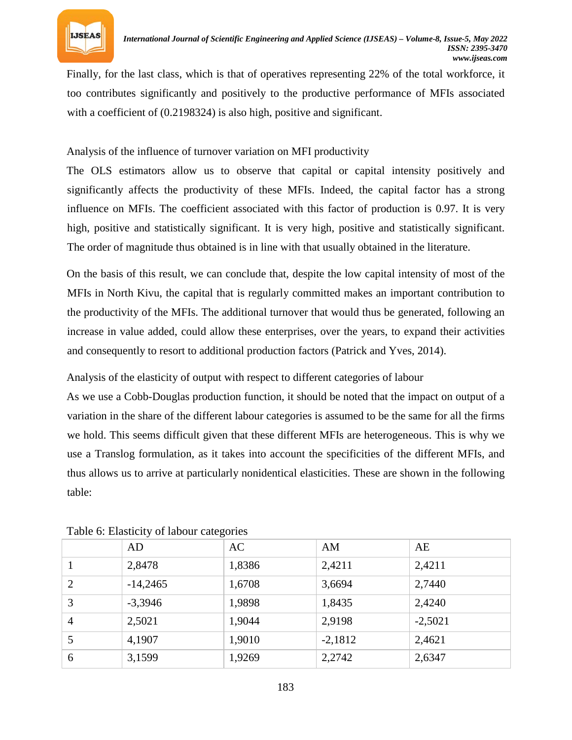

Finally, for the last class, which is that of operatives representing 22% of the total workforce, it too contributes significantly and positively to the productive performance of MFIs associated with a coefficient of  $(0.2198324)$  is also high, positive and significant.

### Analysis of the influence of turnover variation on MFI productivity

The OLS estimators allow us to observe that capital or capital intensity positively and significantly affects the productivity of these MFIs. Indeed, the capital factor has a strong influence on MFIs. The coefficient associated with this factor of production is 0.97. It is very high, positive and statistically significant. It is very high, positive and statistically significant. The order of magnitude thus obtained is in line with that usually obtained in the literature.

On the basis of this result, we can conclude that, despite the low capital intensity of most of the MFIs in North Kivu, the capital that is regularly committed makes an important contribution to the productivity of the MFIs. The additional turnover that would thus be generated, following an increase in value added, could allow these enterprises, over the years, to expand their activities and consequently to resort to additional production factors (Patrick and Yves, 2014).

Analysis of the elasticity of output with respect to different categories of labour

As we use a Cobb-Douglas production function, it should be noted that the impact on output of a variation in the share of the different labour categories is assumed to be the same for all the firms we hold. This seems difficult given that these different MFIs are heterogeneous. This is why we use a Translog formulation, as it takes into account the specificities of the different MFIs, and thus allows us to arrive at particularly nonidentical elasticities. These are shown in the following table:

|                | AD         | AC     | AM        | AE        |
|----------------|------------|--------|-----------|-----------|
|                | 2,8478     | 1,8386 | 2,4211    | 2,4211    |
| $\overline{2}$ | $-14,2465$ | 1,6708 | 3,6694    | 2,7440    |
| 3              | $-3,3946$  | 1,9898 | 1,8435    | 2,4240    |
| $\overline{4}$ | 2,5021     | 1,9044 | 2,9198    | $-2,5021$ |
| 5              | 4,1907     | 1,9010 | $-2,1812$ | 2,4621    |
| 6              | 3,1599     | 1,9269 | 2,2742    | 2,6347    |
|                |            |        |           |           |

Table 6: Elasticity of labour categories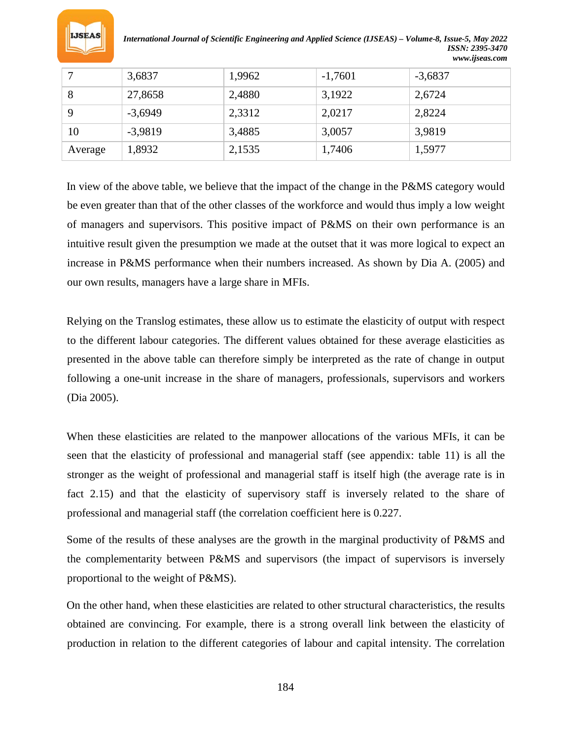

*International Journal of Scientific Engineering and Applied Science (IJSEAS) – Volume-8, Issue-5, May 2022 ISSN: 2395-3470 www.ijseas.com*

|         | 3,6837    | 1,9962 | $-1,7601$ | $-3,6837$ |
|---------|-----------|--------|-----------|-----------|
| 8       | 27,8658   | 2,4880 | 3,1922    | 2,6724    |
| 9       | $-3,6949$ | 2,3312 | 2,0217    | 2,8224    |
| 10      | $-3,9819$ | 3,4885 | 3,0057    | 3,9819    |
| Average | 1,8932    | 2,1535 | 1,7406    | 1,5977    |

In view of the above table, we believe that the impact of the change in the P&MS category would be even greater than that of the other classes of the workforce and would thus imply a low weight of managers and supervisors. This positive impact of P&MS on their own performance is an intuitive result given the presumption we made at the outset that it was more logical to expect an increase in P&MS performance when their numbers increased. As shown by Dia A. (2005) and our own results, managers have a large share in MFIs.

Relying on the Translog estimates, these allow us to estimate the elasticity of output with respect to the different labour categories. The different values obtained for these average elasticities as presented in the above table can therefore simply be interpreted as the rate of change in output following a one-unit increase in the share of managers, professionals, supervisors and workers (Dia 2005).

When these elasticities are related to the manpower allocations of the various MFIs, it can be seen that the elasticity of professional and managerial staff (see appendix: table 11) is all the stronger as the weight of professional and managerial staff is itself high (the average rate is in fact 2.15) and that the elasticity of supervisory staff is inversely related to the share of professional and managerial staff (the correlation coefficient here is 0.227.

Some of the results of these analyses are the growth in the marginal productivity of P&MS and the complementarity between P&MS and supervisors (the impact of supervisors is inversely proportional to the weight of P&MS).

On the other hand, when these elasticities are related to other structural characteristics, the results obtained are convincing. For example, there is a strong overall link between the elasticity of production in relation to the different categories of labour and capital intensity. The correlation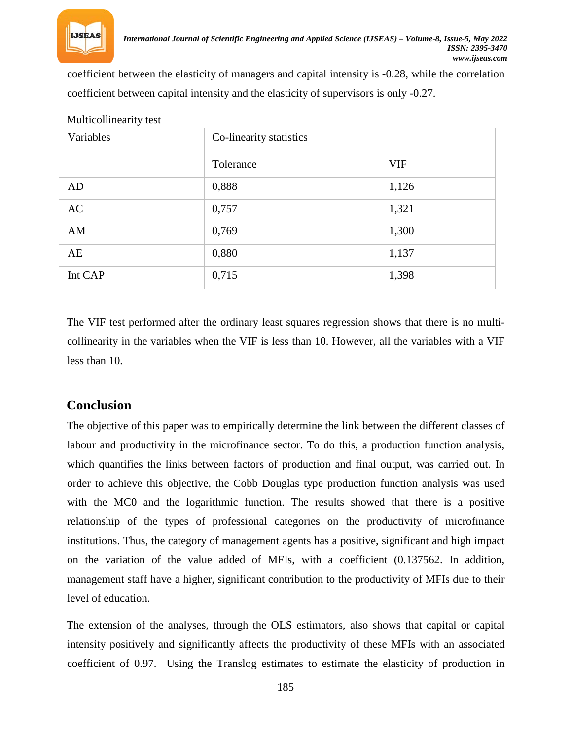

coefficient between the elasticity of managers and capital intensity is -0.28, while the correlation coefficient between capital intensity and the elasticity of supervisors is only -0.27.

| Variables | Co-linearity statistics |            |  |
|-----------|-------------------------|------------|--|
|           | Tolerance               | <b>VIF</b> |  |
| AD        | 0,888                   | 1,126      |  |
| AC        | 0,757                   | 1,321      |  |
| AM        | 0,769                   | 1,300      |  |
| AE        | 0,880                   | 1,137      |  |
| Int CAP   | 0,715                   | 1,398      |  |

Multicollinearity test

The VIF test performed after the ordinary least squares regression shows that there is no multicollinearity in the variables when the VIF is less than 10. However, all the variables with a VIF less than 10.

## **Conclusion**

The objective of this paper was to empirically determine the link between the different classes of labour and productivity in the microfinance sector. To do this, a production function analysis, which quantifies the links between factors of production and final output, was carried out. In order to achieve this objective, the Cobb Douglas type production function analysis was used with the MC0 and the logarithmic function. The results showed that there is a positive relationship of the types of professional categories on the productivity of microfinance institutions. Thus, the category of management agents has a positive, significant and high impact on the variation of the value added of MFIs, with a coefficient (0.137562. In addition, management staff have a higher, significant contribution to the productivity of MFIs due to their level of education.

The extension of the analyses, through the OLS estimators, also shows that capital or capital intensity positively and significantly affects the productivity of these MFIs with an associated coefficient of 0.97. Using the Translog estimates to estimate the elasticity of production in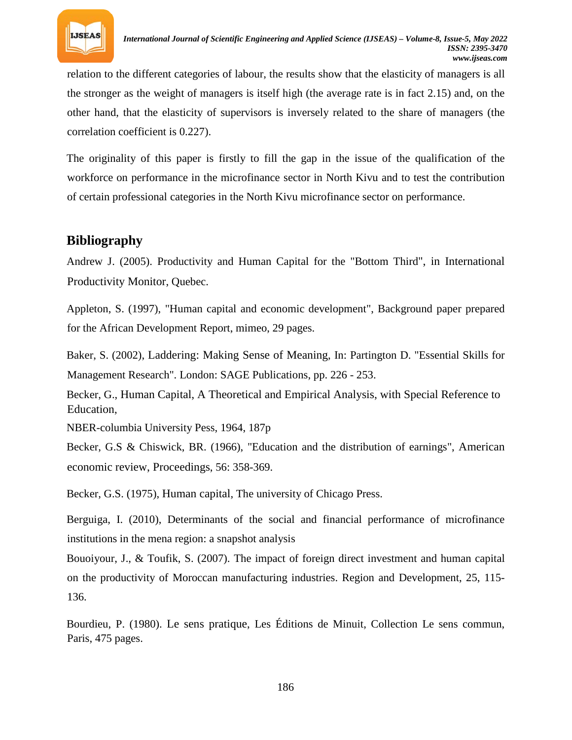

relation to the different categories of labour, the results show that the elasticity of managers is all the stronger as the weight of managers is itself high (the average rate is in fact 2.15) and, on the other hand, that the elasticity of supervisors is inversely related to the share of managers (the correlation coefficient is 0.227).

The originality of this paper is firstly to fill the gap in the issue of the qualification of the workforce on performance in the microfinance sector in North Kivu and to test the contribution of certain professional categories in the North Kivu microfinance sector on performance.

## **Bibliography**

Andrew J. (2005). Productivity and Human Capital for the "Bottom Third", in International Productivity Monitor, Quebec.

Appleton, S. (1997), "Human capital and economic development", Background paper prepared for the African Development Report, mimeo, 29 pages.

Baker, S. (2002), Laddering: Making Sense of Meaning, In: Partington D. "Essential Skills for Management Research". London: SAGE Publications, pp. 226 - 253.

Becker, G., Human Capital, A Theoretical and Empirical Analysis, with Special Reference to Education,

NBER-columbia University Pess, 1964, 187p

Becker, G.S & Chiswick, BR. (1966), "Education and the distribution of earnings", American economic review, Proceedings, 56: 358-369.

Becker, G.S. (1975), Human capital, The university of Chicago Press.

Berguiga, I. (2010), Determinants of the social and financial performance of microfinance institutions in the mena region: a snapshot analysis

Bouoiyour, J., & Toufik, S. (2007). The impact of foreign direct investment and human capital on the productivity of Moroccan manufacturing industries. Region and Development, 25, 115- 136.

Bourdieu, P. (1980). Le sens pratique, Les Éditions de Minuit, Collection Le sens commun, Paris, 475 pages.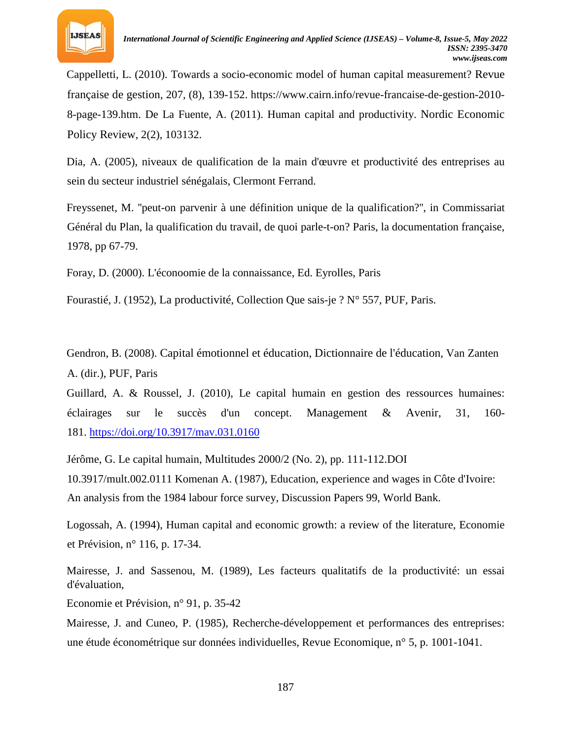

Cappelletti, L. (2010). Towards a socio-economic model of human capital measurement? Revue française de gestion, 207, (8), 139-152. https://www.cairn.info/revue-francaise-de-gestion-2010- 8-page-139.htm. De La Fuente, A. (2011). Human capital and productivity. Nordic Economic Policy Review, 2(2), 103132.

Dia, A. (2005), niveaux de qualification de la main d'œuvre et productivité des entreprises au sein du secteur industriel sénégalais, Clermont Ferrand.

Freyssenet, M. ''peut-on parvenir à une définition unique de la qualification?'', in Commissariat Général du Plan, la qualification du travail, de quoi parle-t-on? Paris, la documentation française, 1978, pp 67-79.

Foray, D. (2000). L'éconoomie de la connaissance, Ed. Eyrolles, Paris

Fourastié, J. (1952), La productivité, Collection Que sais-je ?  $N^{\circ}$  557, PUF, Paris.

Gendron, B. (2008). Capital émotionnel et éducation, Dictionnaire de l'éducation, Van Zanten A. (dir.), PUF, Paris

Guillard, A. & Roussel, J. (2010), Le capital humain en gestion des ressources humaines: éclairages sur le succès d'un concept. Management & Avenir, 31, 160- 18[1.](https://doi.org/10.3917/mav.031.0160) *U*<https://doi.org/10.3917/mav.031.0160>*<sup>U</sup>*

Jérôme, G. Le capital humain, Multitudes 2000/2 (No. 2), pp. 111-112.DOI 10.3917/mult.002.0111 Komenan A. (1987), Education, experience and wages in Côte d'Ivoire: An analysis from the 1984 labour force survey, Discussion Papers 99, World Bank.

Logossah, A. (1994), Human capital and economic growth: a review of the literature, Economie et Prévision, n° 116, p. 17-34.

Mairesse, J. and Sassenou, M. (1989), Les facteurs qualitatifs de la productivité: un essai d'évaluation,

Economie et Prévision, n° 91, p. 35-42

Mairesse, J. and Cuneo, P. (1985), Recherche-développement et performances des entreprises: une étude économétrique sur données individuelles, Revue Economique, n° 5, p. 1001-1041.